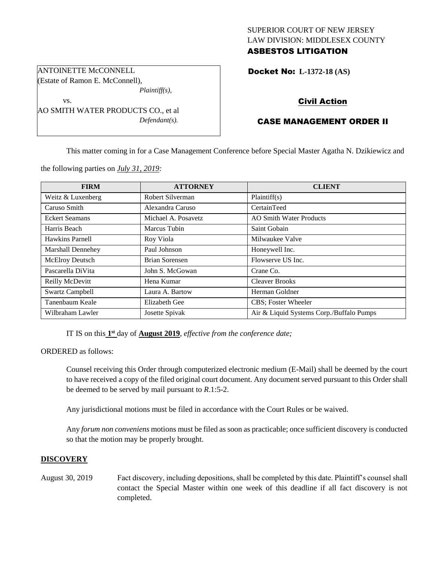## SUPERIOR COURT OF NEW JERSEY LAW DIVISION: MIDDLESEX COUNTY ASBESTOS LITIGATION

Docket No: **L-1372-18 (AS)** 

# Civil Action

# CASE MANAGEMENT ORDER II

This matter coming in for a Case Management Conference before Special Master Agatha N. Dzikiewicz and

the following parties on *July 31, 2019:*

| <b>FIRM</b>              | <b>ATTORNEY</b>     | <b>CLIENT</b>                            |
|--------------------------|---------------------|------------------------------------------|
| Weitz & Luxenberg        | Robert Silverman    | Plaintiff(s)                             |
| Caruso Smith             | Alexandra Caruso    | CertainTeed                              |
| <b>Eckert Seamans</b>    | Michael A. Posavetz | <b>AO Smith Water Products</b>           |
| Harris Beach             | Marcus Tubin        | Saint Gobain                             |
| Hawkins Parnell          | Roy Viola           | Milwaukee Valve                          |
| <b>Marshall Dennehey</b> | Paul Johnson        | Honeywell Inc.                           |
| McElroy Deutsch          | Brian Sorensen      | Flowserve US Inc.                        |
| Pascarella DiVita        | John S. McGowan     | Crane Co.                                |
| Reilly McDevitt          | Hena Kumar          | <b>Cleaver Brooks</b>                    |
| <b>Swartz Campbell</b>   | Laura A. Bartow     | Herman Goldner                           |
| Tanenbaum Keale          | Elizabeth Gee       | CBS; Foster Wheeler                      |
| Wilbraham Lawler         | Josette Spivak      | Air & Liquid Systems Corp./Buffalo Pumps |

IT IS on this  $1<sup>st</sup>$  day of **August 2019**, *effective from the conference date*;

ORDERED as follows:

Counsel receiving this Order through computerized electronic medium (E-Mail) shall be deemed by the court to have received a copy of the filed original court document. Any document served pursuant to this Order shall be deemed to be served by mail pursuant to *R*.1:5-2.

Any jurisdictional motions must be filed in accordance with the Court Rules or be waived.

Any *forum non conveniens* motions must be filed as soon as practicable; once sufficient discovery is conducted so that the motion may be properly brought.

## **DISCOVERY**

August 30, 2019 Fact discovery, including depositions, shall be completed by this date. Plaintiff's counsel shall contact the Special Master within one week of this deadline if all fact discovery is not completed.

ANTOINETTE McCONNELL (Estate of Ramon E. McConnell),

*Plaintiff(s),*

*Defendant(s).*

vs. AO SMITH WATER PRODUCTS CO., et al